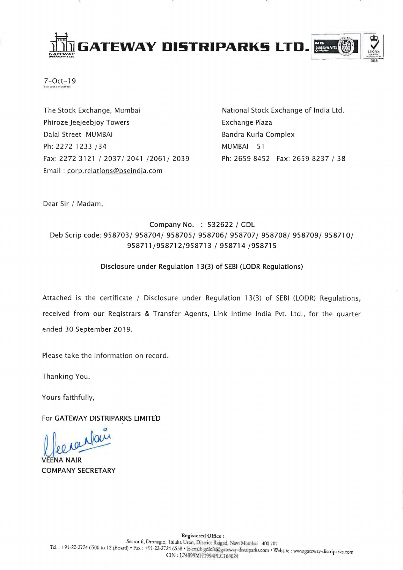

 $7-Oct-19$ 

The Stock Exchange, Mumbai Phiroze Jeejeebjoy Towers Dalal Street MUMBAI Ph: 2272 1233 /34 Fax: 2272 3121 / 2037/ 2041 /2061/ 2039 Email: corp.relations@bseindia.com

National Stock Exchange of India Ltd. Exchange Plaza Bandra Kurla Complex MUMBAI-51 Ph: 2659 8452 Fax: 2659 8237 / 38

Dear Sir / Madam,

### Company No. : 532622 / GDL Deb Scrip code: 958703/ 958704/ 958705/ 958706/ 958707/ 958708/ 958709/ 958710/ 958711/958712/958713 / 958714 /958715

#### Disclosure under Regulation 13(3) of SEBI (LODR Regulations)

Attached is the certificate / Disclosure under Regulation 13(3) of SEBI (LODR) Regulations, received from our Registrars & Transfer Agents, Link Intime India Pvt. Ltd., for the quarter ended 30 September 2019.

Please take the information on record.

Thanking You.

Yours faithfully,

For GATEWAY DISTRIPARKS LIMITED

ranfair

**FNA NAIR COMPANY SECRETARY**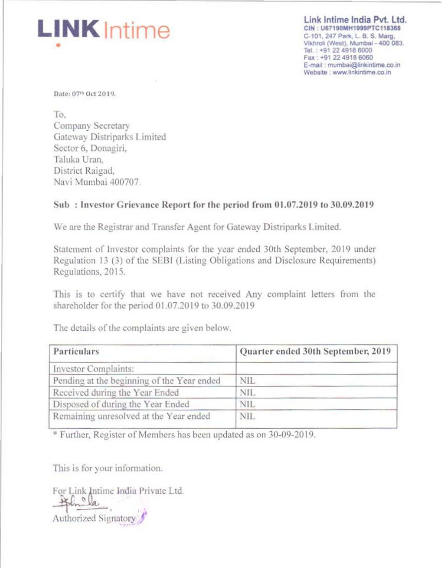# **LINK** Intime

Link Intime India Pvt. Ltd. CIN: U67190MH1999PTC118368 C-101, 247 Park, L. B. S. Marg, Vikhroli (West), Mumbai - 400 083. Tel.: +91 22 4918 6000 Fax: +91 22 4918 6060 E-mail: mumbai@linkintime.co.in Website : www.linkintime.co.in

Date: 07th Oct 2019.

To. Company Secretary Gateway Distriparks Limited Sector 6, Donagiri. Taluka Uran, District Raigad, Navi Mumbai 400707.

### Sub: Investor Grievance Report for the period from 01.07.2019 to 30.09.2019

We are the Registrar and Transfer Agent for Gateway Distriparks Limited.

Statement of Investor complaints for the year ended 30th September, 2019 under Regulation 13 (3) of the SEBI (Listing Obligations and Disclosure Requirements) Regulations, 2015.

This is to certify that we have not received Any complaint letters from the shareholder for the period 01.07.2019 to 30.09.2019

| Particulars                                | Quarter ended 30th September, 2019 |  |
|--------------------------------------------|------------------------------------|--|
| Investor Complaints:                       |                                    |  |
| Pending at the beginning of the Year ended | <b>NIL</b>                         |  |
| Received during the Year Ended             | <b>NIL</b>                         |  |
| Disposed of during the Year Ended          | <b>NIL</b>                         |  |
| Remaining unresolved at the Year ended     | NIL.                               |  |

The details of the complaints are given below.

\* Further, Register of Members has been updated as on 30-09-2019.

This is for your information.

For Link Intime India Private Ltd. Al Cla Authorized Signatory